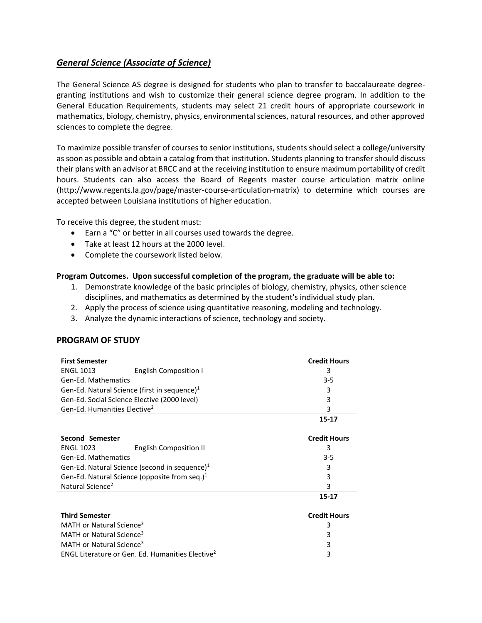## *General Science (Associate of Science)*

The General Science AS degree is designed for students who plan to transfer to baccalaureate degreegranting institutions and wish to customize their general science degree program. In addition to the General Education Requirements, students may select 21 credit hours of appropriate coursework in mathematics, biology, chemistry, physics, environmental sciences, natural resources, and other approved sciences to complete the degree.

To maximize possible transfer of courses to senior institutions, students should select a college/university as soon as possible and obtain a catalog from that institution. Students planning to transfer should discuss their plans with an advisor at BRCC and at the receiving institution to ensure maximum portability of credit hours. Students can also access the Board of Regents master course articulation matrix online (http://www.regents.la.gov/page/master-course-articulation-matrix) to determine which courses are accepted between Louisiana institutions of higher education.

To receive this degree, the student must:

- Earn a "C" or better in all courses used towards the degree.
- Take at least 12 hours at the 2000 level.
- Complete the coursework listed below.

## **Program Outcomes. Upon successful completion of the program, the graduate will be able to:**

- 1. Demonstrate knowledge of the basic principles of biology, chemistry, physics, other science disciplines, and mathematics as determined by the student's individual study plan.
- 2. Apply the process of science using quantitative reasoning, modeling and technology.
- 3. Analyze the dynamic interactions of science, technology and society.

## **PROGRAM OF STUDY**

| <b>First Semester</b>                             | <b>Credit Hours</b> |  |
|---------------------------------------------------|---------------------|--|
| <b>ENGL 1013</b><br><b>English Composition I</b>  | 3                   |  |
| Gen-Ed. Mathematics                               | 3-5                 |  |
| Gen-Ed. Natural Science (first in sequence) $1$   | 3                   |  |
| Gen-Ed. Social Science Elective (2000 level)      | 3                   |  |
| Gen-Ed. Humanities Elective <sup>2</sup>          | 3                   |  |
|                                                   | $15 - 17$           |  |
| Second Semester                                   | <b>Credit Hours</b> |  |
| <b>ENGL 1023</b><br><b>English Composition II</b> | 3                   |  |
| Gen-Ed. Mathematics                               | 3-5                 |  |
| Gen-Ed. Natural Science (second in sequence) $1$  | 3                   |  |
| Gen-Ed. Natural Science (opposite from seq.) $1$  | 3                   |  |
| Natural Science <sup>2</sup>                      | 3                   |  |
|                                                   | $15 - 17$           |  |
| <b>Third Semester</b>                             | <b>Credit Hours</b> |  |
| MATH or Natural Science <sup>3</sup>              | 3                   |  |
| MATH or Natural Science <sup>3</sup>              | 3                   |  |

MATH or Natural Science $^3$  3 ENGL Literature or Gen. Ed. Humanities Elective<sup>2</sup> and the state of 3